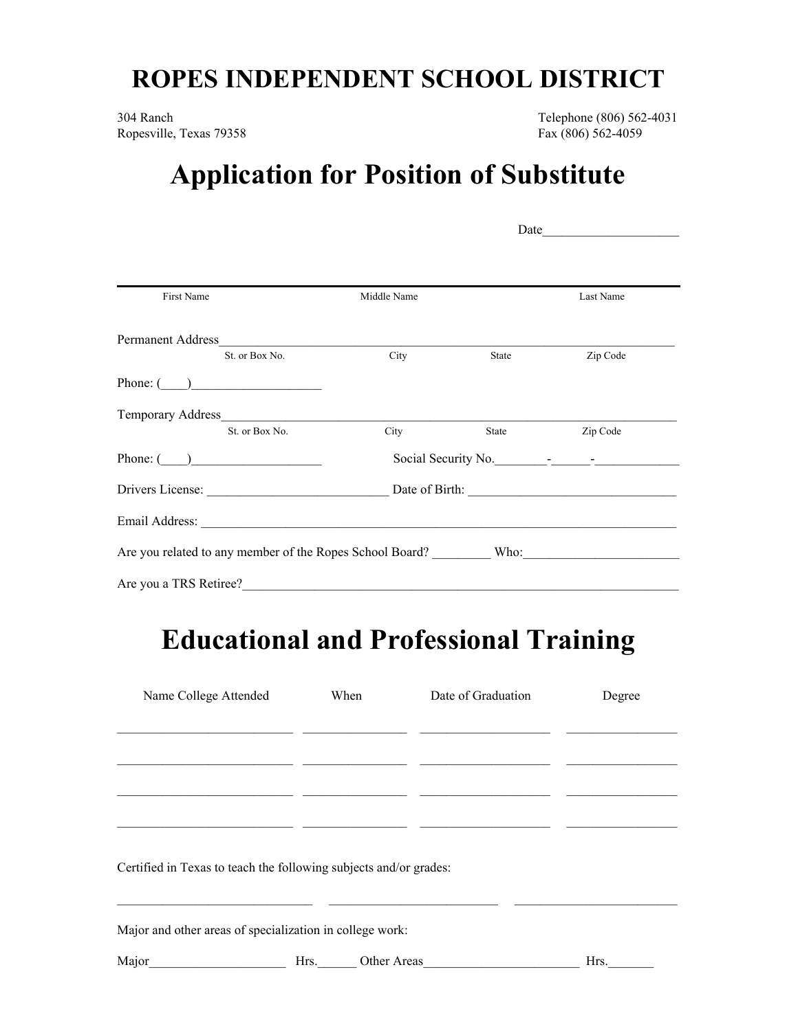## **ROPES INDEPENDENT SCHOOL DISTRICT**

304 Ranch Telephone (806) 562-4031 Ropesville, Texas 79358 Fax (806) 562-4059

## **Application for Position of Substitute**

| First Name                               | Middle Name      |                                        | Last Name |  |  |
|------------------------------------------|------------------|----------------------------------------|-----------|--|--|
|                                          |                  |                                        |           |  |  |
| St. or Box No.<br>Phone: $\qquad \qquad$ | <b>City</b>      | <b>State</b> State                     | Zip Code  |  |  |
| Temporary Address_                       |                  |                                        |           |  |  |
| St. or Box No.                           | <b>City</b> City | State                                  | Zip Code  |  |  |
| Phone: $\qquad \qquad$                   |                  | Social Security No.                    |           |  |  |
|                                          |                  | Drivers License: <u>Date</u> of Birth: |           |  |  |
|                                          |                  |                                        |           |  |  |
|                                          |                  |                                        |           |  |  |
| Are you a TRS Retiree?                   |                  |                                        |           |  |  |

## **Educational and Professional Training**

| Name College Attended                                             | When | Date of Graduation | Degree |
|-------------------------------------------------------------------|------|--------------------|--------|
|                                                                   |      |                    |        |
|                                                                   |      |                    |        |
|                                                                   |      |                    |        |
|                                                                   |      |                    |        |
| Certified in Texas to teach the following subjects and/or grades: |      |                    |        |
| Major and other areas of specialization in college work:          |      |                    |        |
| Major                                                             | Hrs. | Other Areas        | Hrs.   |